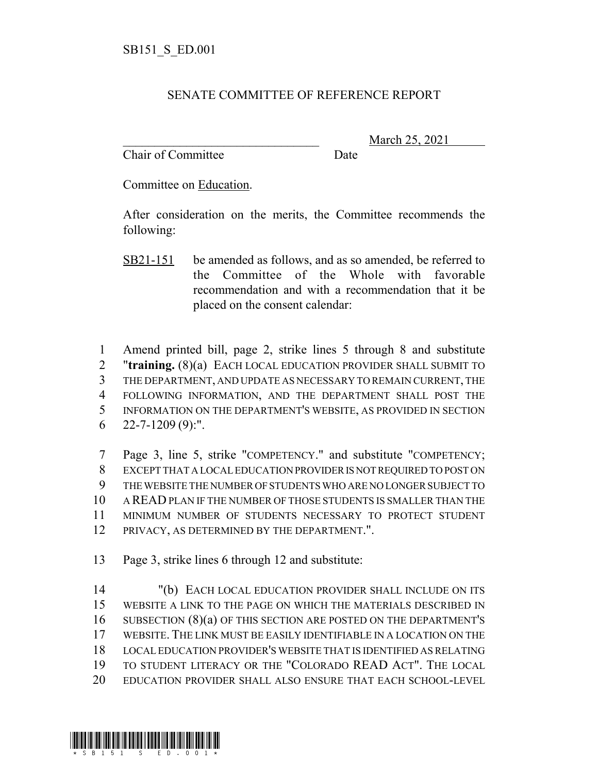## SENATE COMMITTEE OF REFERENCE REPORT

Chair of Committee Date

\_\_\_\_\_\_\_\_\_\_\_\_\_\_\_\_\_\_\_\_\_\_\_\_\_\_\_\_\_\_\_ March 25, 2021

Committee on Education.

After consideration on the merits, the Committee recommends the following:

SB21-151 be amended as follows, and as so amended, be referred to the Committee of the Whole with favorable recommendation and with a recommendation that it be placed on the consent calendar:

 Amend printed bill, page 2, strike lines 5 through 8 and substitute "**training.** (8)(a) EACH LOCAL EDUCATION PROVIDER SHALL SUBMIT TO THE DEPARTMENT, AND UPDATE AS NECESSARY TO REMAIN CURRENT, THE FOLLOWING INFORMATION, AND THE DEPARTMENT SHALL POST THE INFORMATION ON THE DEPARTMENT'S WEBSITE, AS PROVIDED IN SECTION  $6 \quad 22 - 7 - 1209 \, (9)$ :".

 Page 3, line 5, strike "COMPETENCY." and substitute "COMPETENCY; EXCEPT THAT A LOCAL EDUCATION PROVIDER IS NOT REQUIRED TO POST ON THE WEBSITE THE NUMBER OF STUDENTS WHO ARE NO LONGER SUBJECT TO A READ PLAN IF THE NUMBER OF THOSE STUDENTS IS SMALLER THAN THE MINIMUM NUMBER OF STUDENTS NECESSARY TO PROTECT STUDENT PRIVACY, AS DETERMINED BY THE DEPARTMENT.".

13 Page 3, strike lines 6 through 12 and substitute:

 "(b) EACH LOCAL EDUCATION PROVIDER SHALL INCLUDE ON ITS WEBSITE A LINK TO THE PAGE ON WHICH THE MATERIALS DESCRIBED IN SUBSECTION (8)(a) OF THIS SECTION ARE POSTED ON THE DEPARTMENT'S WEBSITE. THE LINK MUST BE EASILY IDENTIFIABLE IN A LOCATION ON THE LOCAL EDUCATION PROVIDER'S WEBSITE THAT IS IDENTIFIED AS RELATING TO STUDENT LITERACY OR THE "COLORADO READ ACT". THE LOCAL EDUCATION PROVIDER SHALL ALSO ENSURE THAT EACH SCHOOL-LEVEL